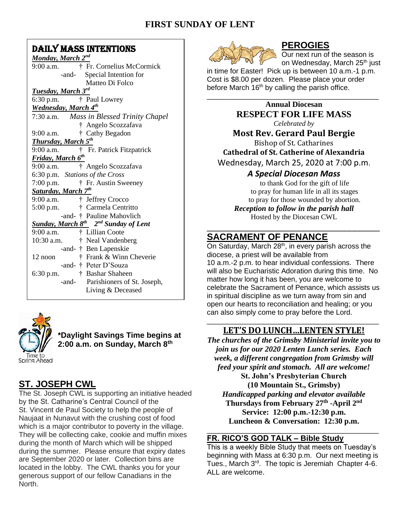# **FIRST SUNDAY OF LENT**

# DAILY MASS INTENTIONS

| Monday, March 2 <sup>nd</sup>                                      |
|--------------------------------------------------------------------|
| † Fr. Cornelius McCormick<br>9:00 a.m.                             |
| Special Intention for<br>-and-                                     |
| Matteo Di Folco                                                    |
| <b>Tuesday, March 3rd</b>                                          |
| † Paul Lowrey<br>$6:30$ p.m.                                       |
| Wednesday, March 4 <sup>th</sup>                                   |
| 7:30 a.m. Mass in Blessed Trinity Chapel                           |
| † Angelo Scozzafava                                                |
| $9:00$ a.m.<br>† Cathy Begadon                                     |
| <b>Thursday, March 5th</b>                                         |
| † Fr. Patrick Fitzpatrick<br>9:00 a.m.                             |
| <b>Friday, March 6th</b>                                           |
| † Angelo Scozzafava<br>9:00 a.m.                                   |
| 6:30 p.m. Stations of the Cross                                    |
| † Fr. Austin Sweeney<br>$7:00$ p.m.                                |
| <b>Saturday, March 7th</b>                                         |
| † Jeffrey Crocco<br>9:00 a.m.                                      |
| † Carmela Centritto<br>$5:00$ p.m.                                 |
| -and- † Pauline Mahovlich                                          |
| <b>Sunday, March 8<sup>th</sup></b> 2 <sup>nd</sup> Sunday of Lent |
| † Lillian Coote<br>9:00 a.m.                                       |
| 10:30 a.m.<br>† Neal Vandenberg                                    |
| -and- † Ben Lapenskie                                              |
| † Frank & Winn Cheverie<br>12 noon                                 |
| -and- † Peter D'Souza                                              |
| † Bashar Shaheen<br>6:30 p.m.                                      |
| -and- Parishioners of St. Joseph,                                  |
| Living & Deceased                                                  |
|                                                                    |



**\*Daylight Savings Time begins at 2:00 a.m. on Sunday, March 8th**

# **ST. JOSEPH CWL**

The St. Joseph CWL is supporting an initiative headed by the St. Catharine's Central Council of the St. Vincent de Paul Society to help the people of Naujaat in Nunavut with the crushing cost of food which is a major contributor to poverty in the village. They will be collecting cake, cookie and muffin mixes during the month of March which will be shipped during the summer. Please ensure that expiry dates are September 2020 or later. Collection bins are located in the lobby. The CWL thanks you for your generous support of our fellow Canadians in the North.



## **PEROGIES**

Our next run of the season is on Wednesday, March 25<sup>th</sup> just

in time for Easter! Pick up is between 10 a.m.-1 p.m. Cost is \$8.00 per dozen. Please place your order before March  $16<sup>th</sup>$  by calling the parish office.

\_\_\_\_\_\_\_\_\_\_\_\_\_\_\_\_\_\_\_\_\_\_\_\_\_\_\_\_\_\_\_\_\_\_\_\_\_\_\_\_\_\_\_

**Annual Diocesan RESPECT FOR LIFE MASS** *Celebrated by*

# **Most Rev. Gerard Paul Bergie**

Bishop of St. Catharines **Cathedral of St. Catherine of Alexandria** Wednesday, March 25, 2020 at 7:00 p.m.

## *A Special Diocesan Mass*

to thank God for the gift of life to pray for human life in all its stages to pray for those wounded by abortion. *Reception to follow in the parish hall* Hosted by the Diocesan CWL

## \_\_\_\_\_\_\_\_\_\_\_\_\_\_\_\_\_\_\_\_\_\_\_\_\_\_\_\_\_\_\_\_\_\_ **SACRAMENT OF PENANCE**

On Saturday, March 28<sup>th</sup>, in every parish across the diocese, a priest will be available from 10 a.m.-2 p.m. to hear individual confessions. There will also be Eucharistic Adoration during this time. No matter how long it has been, you are welcome to celebrate the Sacrament of Penance, which assists us in spiritual discipline as we turn away from sin and open our hearts to reconciliation and healing; or you can also simply come to pray before the Lord.

#### \_\_\_\_\_\_\_\_\_\_\_\_\_\_\_\_\_\_\_\_\_\_\_\_\_\_\_\_\_\_\_\_\_\_\_\_\_\_\_\_\_\_\_ **LET'S DO LUNCH…LENTEN STYLE!**

*The churches of the Grimsby Ministerial invite you to join us for our 2020 Lenten Lunch series. Each week, a different congregation from Grimsby will feed your spirit and stomach. All are welcome!*

**St. John's Presbyterian Church (10 Mountain St., Grimsby)** *Handicapped parking and elevator available* **Thursdays from February 27th -April 2 nd Service: 12:00 p.m.-12:30 p.m. Luncheon & Conversation: 12:30 p.m.**

#### **FR. RICO'S GOD TALK – Bible Study**

This is a weekly Bible Study that meets on Tuesday's beginning with Mass at 6:30 p.m. Our next meeting is Tues., March 3<sup>rd</sup>. The topic is Jeremiah Chapter 4-6. ALL are welcome.

\_\_\_\_\_\_\_\_\_\_\_\_\_\_\_\_\_\_\_\_\_\_\_\_\_\_\_\_\_\_\_\_\_\_\_\_\_\_\_\_\_\_\_